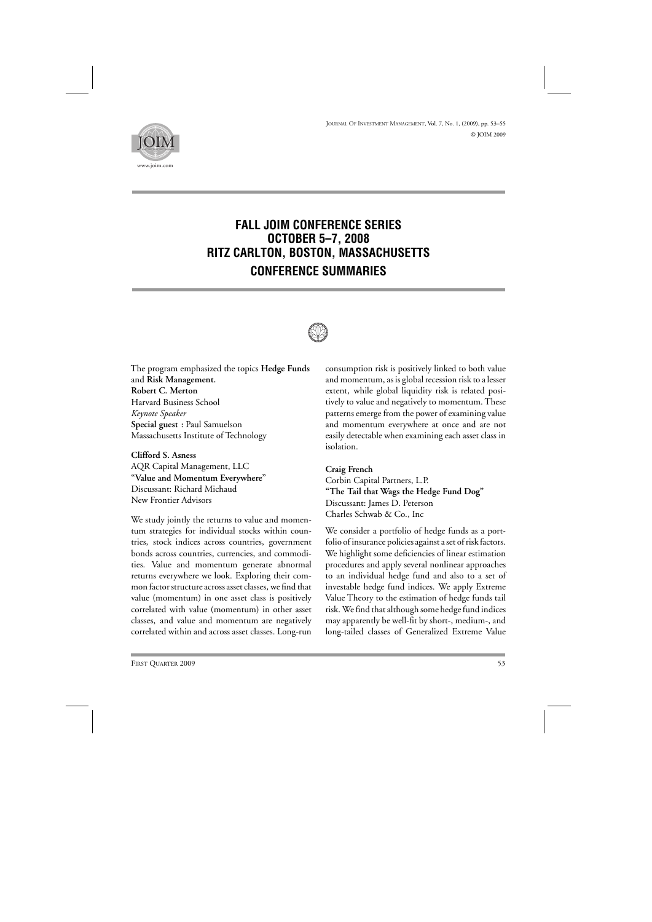

## **FALL JOIM CONFERENCE SERIES OCTOBER 5–7, 2008 RITZ CARLTON, BOSTON, MASSACHUSETTS CONFERENCE SUMMARIES**



The program emphasized the topics **Hedge Funds** and **Risk Management. Robert C. Merton** Harvard Business School *Keynote Speaker* **Special guest**: Paul Samuelson Massachusetts Institute of Technology

**Clifford S. Asness**

AQR Capital Management, LLC **"Value and Momentum Everywhere"** Discussant: Richard Michaud New Frontier Advisors

We study jointly the returns to value and momentum strategies for individual stocks within countries, stock indices across countries, government bonds across countries, currencies, and commodities. Value and momentum generate abnormal returns everywhere we look. Exploring their common factor structure across asset classes, we find that value (momentum) in one asset class is positively correlated with value (momentum) in other asset classes, and value and momentum are negatively correlated within and across asset classes. Long-run

consumption risk is positively linked to both value and momentum, as is global recession risk to a lesser extent, while global liquidity risk is related positively to value and negatively to momentum. These patterns emerge from the power of examining value and momentum everywhere at once and are not easily detectable when examining each asset class in isolation.

**Craig French** Corbin Capital Partners, L.P. **"The Tail that Wags the Hedge Fund Dog"** Discussant: James D. Peterson Charles Schwab & Co., Inc

We consider a portfolio of hedge funds as a portfolio of insurance policies against a set of risk factors. We highlight some deficiencies of linear estimation procedures and apply several nonlinear approaches to an individual hedge fund and also to a set of investable hedge fund indices. We apply Extreme Value Theory to the estimation of hedge funds tail risk. We find that although some hedge fund indices may apparently be well-fit by short-, medium-, and long-tailed classes of Generalized Extreme Value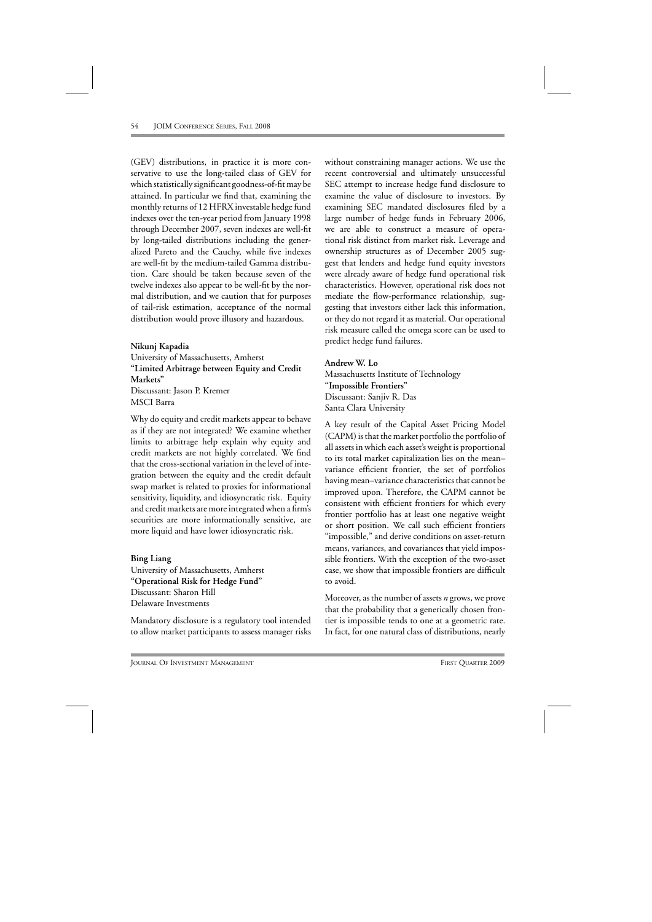(GEV) distributions, in practice it is more conservative to use the long-tailed class of GEV for which statistically significant goodness-of-fit may be attained. In particular we find that, examining the monthly returns of 12 HFRX investable hedge fund indexes over the ten-year period from January 1998 through December 2007, seven indexes are well-fit by long-tailed distributions including the generalized Pareto and the Cauchy, while five indexes are well-fit by the medium-tailed Gamma distribution. Care should be taken because seven of the twelve indexes also appear to be well-fit by the normal distribution, and we caution that for purposes of tail-risk estimation, acceptance of the normal distribution would prove illusory and hazardous.

**Nikunj Kapadia** University of Massachusetts, Amherst **"Limited Arbitrage between Equity and Credit Markets"** Discussant: Jason P. Kremer MSCI Barra

Why do equity and credit markets appear to behave as if they are not integrated? We examine whether limits to arbitrage help explain why equity and credit markets are not highly correlated. We find that the cross-sectional variation in the level of integration between the equity and the credit default swap market is related to proxies for informational sensitivity, liquidity, and idiosyncratic risk. Equity and credit markets are more integrated when a firm's securities are more informationally sensitive, are more liquid and have lower idiosyncratic risk.

## **Bing Liang**

University of Massachusetts, Amherst **"Operational Risk for Hedge Fund"** Discussant: Sharon Hill Delaware Investments

Mandatory disclosure is a regulatory tool intended to allow market participants to assess manager risks without constraining manager actions. We use the recent controversial and ultimately unsuccessful SEC attempt to increase hedge fund disclosure to examine the value of disclosure to investors. By examining SEC mandated disclosures filed by a large number of hedge funds in February 2006, we are able to construct a measure of operational risk distinct from market risk. Leverage and ownership structures as of December 2005 suggest that lenders and hedge fund equity investors were already aware of hedge fund operational risk characteristics. However, operational risk does not mediate the flow-performance relationship, suggesting that investors either lack this information, or they do not regard it as material. Our operational risk measure called the omega score can be used to predict hedge fund failures.

## **Andrew W. Lo**

Massachusetts Institute of Technology **"Impossible Frontiers"** Discussant: Sanjiv R. Das Santa Clara University

A key result of the Capital Asset Pricing Model (CAPM) is that the market portfolio the portfolio of all assets in which each asset's weight is proportional to its total market capitalization lies on the mean– variance efficient frontier, the set of portfolios having mean–variance characteristics that cannot be improved upon. Therefore, the CAPM cannot be consistent with efficient frontiers for which every frontier portfolio has at least one negative weight or short position. We call such efficient frontiers "impossible," and derive conditions on asset-return means, variances, and covariances that yield impossible frontiers. With the exception of the two-asset case, we show that impossible frontiers are difficult to avoid.

Moreover, as the number of assets *n* grows, we prove that the probability that a generically chosen frontier is impossible tends to one at a geometric rate. In fact, for one natural class of distributions, nearly